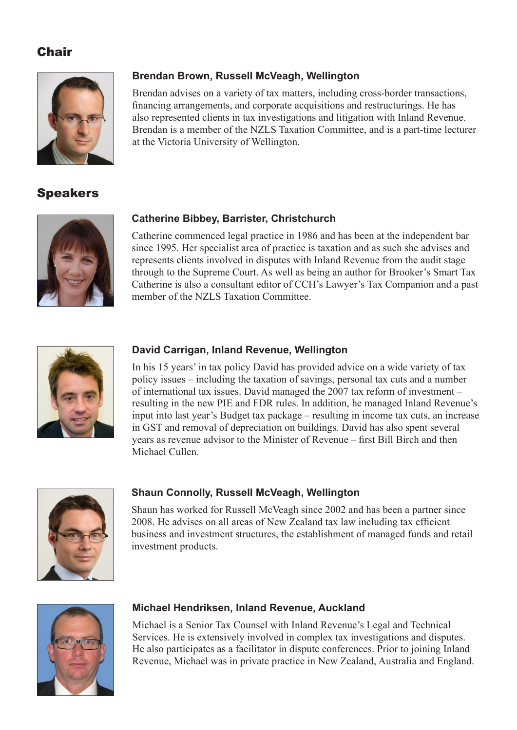# **Chair**



# Speakers



# **Catherine Bibbey, Barrister, Christchurch**

at the Victoria University of Wellington.

**Brendan Brown, Russell McVeagh, Wellington**

Catherine commenced legal practice in 1986 and has been at the independent bar since 1995. Her specialist area of practice is taxation and as such she advises and represents clients involved in disputes with Inland Revenue from the audit stage through to the Supreme Court. As well as being an author for Brooker's Smart Tax Catherine is also a consultant editor of CCH's Lawyer's Tax Companion and a past member of the NZLS Taxation Committee.

Brendan advises on a variety of tax matters, including cross-border transactions, financing arrangements, and corporate acquisitions and restructurings. He has also represented clients in tax investigations and litigation with Inland Revenue. Brendan is a member of the NZLS Taxation Committee, and is a part-time lecturer



#### **David Carrigan, Inland Revenue, Wellington**

In his 15 years' in tax policy David has provided advice on a wide variety of tax policy issues – including the taxation of savings, personal tax cuts and a number of international tax issues. David managed the 2007 tax reform of investment – resulting in the new PIE and FDR rules. In addition, he managed Inland Revenue's input into last year's Budget tax package – resulting in income tax cuts, an increase in GST and removal of depreciation on buildings. David has also spent several years as revenue advisor to the Minister of Revenue – first Bill Birch and then Michael Cullen.



# **Shaun Connolly, Russell McVeagh, Wellington**

Shaun has worked for Russell McVeagh since 2002 and has been a partner since 2008. He advises on all areas of New Zealand tax law including tax efficient business and investment structures, the establishment of managed funds and retail investment products.



# **Michael Hendriksen, Inland Revenue, Auckland**

Michael is a Senior Tax Counsel with Inland Revenue's Legal and Technical Services. He is extensively involved in complex tax investigations and disputes. He also participates as a facilitator in dispute conferences. Prior to joining Inland Revenue, Michael was in private practice in New Zealand, Australia and England.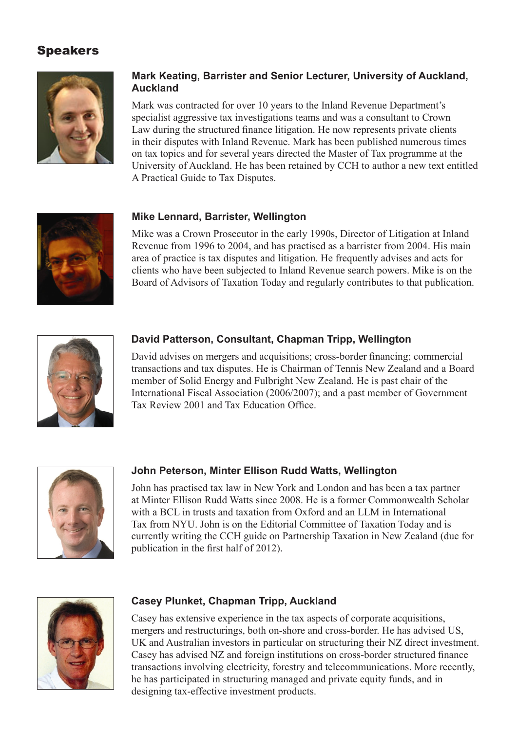# Speakers



# **Mark Keating, Barrister and Senior Lecturer, University of Auckland, Auckland**

Mark was contracted for over 10 years to the Inland Revenue Department's specialist aggressive tax investigations teams and was a consultant to Crown Law during the structured finance litigation. He now represents private clients in their disputes with Inland Revenue. Mark has been published numerous times on tax topics and for several years directed the Master of Tax programme at the University of Auckland. He has been retained by CCH to author a new text entitled A Practical Guide to Tax Disputes.



# **Mike Lennard, Barrister, Wellington**

Mike was a Crown Prosecutor in the early 1990s, Director of Litigation at Inland Revenue from 1996 to 2004, and has practised as a barrister from 2004. His main area of practice is tax disputes and litigation. He frequently advises and acts for clients who have been subjected to Inland Revenue search powers. Mike is on the Board of Advisors of Taxation Today and regularly contributes to that publication.



#### **David Patterson, Consultant, Chapman Tripp, Wellington**

David advises on mergers and acquisitions; cross-border financing; commercial transactions and tax disputes. He is Chairman of Tennis New Zealand and a Board member of Solid Energy and Fulbright New Zealand. He is past chair of the International Fiscal Association (2006/2007); and a past member of Government Tax Review 2001 and Tax Education Office.



#### **John Peterson, Minter Ellison Rudd Watts, Wellington**

John has practised tax law in New York and London and has been a tax partner at Minter Ellison Rudd Watts since 2008. He is a former Commonwealth Scholar with a BCL in trusts and taxation from Oxford and an LLM in International Tax from NYU. John is on the Editorial Committee of Taxation Today and is currently writing the CCH guide on Partnership Taxation in New Zealand (due for publication in the first half of 2012).



#### **Casey Plunket, Chapman Tripp, Auckland**

Casey has extensive experience in the tax aspects of corporate acquisitions, mergers and restructurings, both on-shore and cross-border. He has advised US, UK and Australian investors in particular on structuring their NZ direct investment. Casey has advised NZ and foreign institutions on cross-border structured finance transactions involving electricity, forestry and telecommunications. More recently, he has participated in structuring managed and private equity funds, and in designing tax-effective investment products.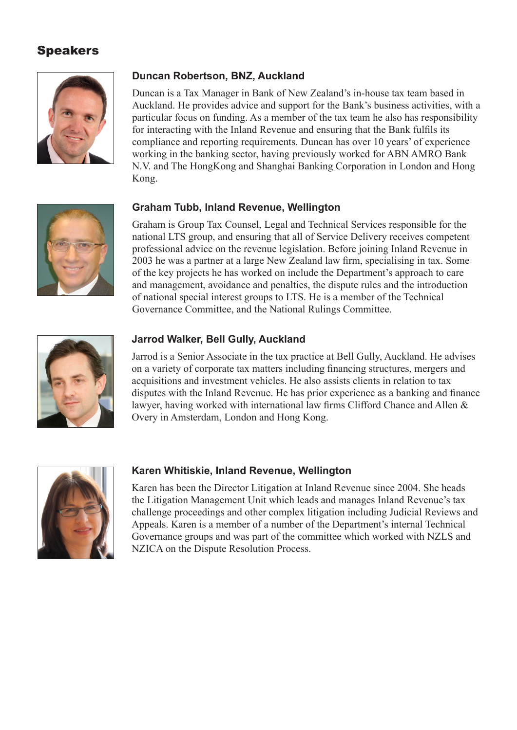# Speakers



#### **Duncan Robertson, BNZ, Auckland**

Duncan is a Tax Manager in Bank of New Zealand's in-house tax team based in Auckland. He provides advice and support for the Bank's business activities, with a particular focus on funding. As a member of the tax team he also has responsibility for interacting with the Inland Revenue and ensuring that the Bank fulfils its compliance and reporting requirements. Duncan has over 10 years' of experience working in the banking sector, having previously worked for ABN AMRO Bank N.V. and The HongKong and Shanghai Banking Corporation in London and Hong Kong.

#### **Graham Tubb, Inland Revenue, Wellington**

Graham is Group Tax Counsel, Legal and Technical Services responsible for the national LTS group, and ensuring that all of Service Delivery receives competent professional advice on the revenue legislation. Before joining Inland Revenue in 2003 he was a partner at a large New Zealand law firm, specialising in tax. Some of the key projects he has worked on include the Department's approach to care and management, avoidance and penalties, the dispute rules and the introduction of national special interest groups to LTS. He is a member of the Technical Governance Committee, and the National Rulings Committee.



#### **Jarrod Walker, Bell Gully, Auckland**

Jarrod is a Senior Associate in the tax practice at Bell Gully, Auckland. He advises on a variety of corporate tax matters including financing structures, mergers and acquisitions and investment vehicles. He also assists clients in relation to tax disputes with the Inland Revenue. He has prior experience as a banking and finance lawyer, having worked with international law firms Clifford Chance and Allen & Overy in Amsterdam, London and Hong Kong.



# **Karen Whitiskie, Inland Revenue, Wellington**

Karen has been the Director Litigation at Inland Revenue since 2004. She heads the Litigation Management Unit which leads and manages Inland Revenue's tax challenge proceedings and other complex litigation including Judicial Reviews and Appeals. Karen is a member of a number of the Department's internal Technical Governance groups and was part of the committee which worked with NZLS and NZICA on the Dispute Resolution Process.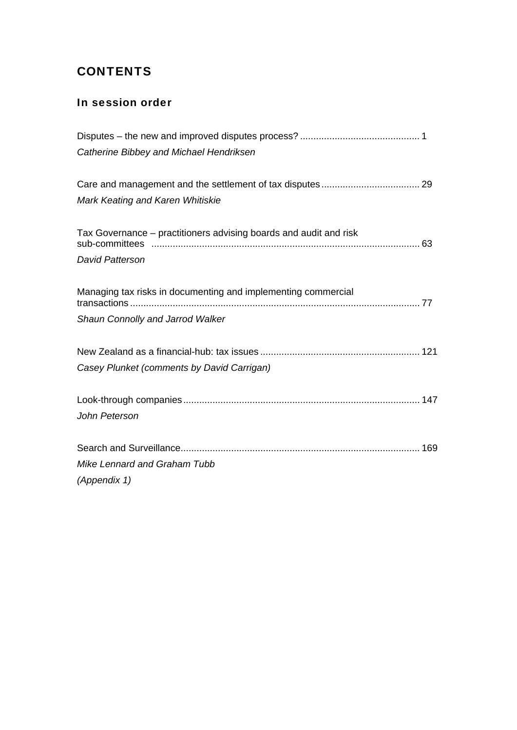# **CONTENTS**

# In session order

| Catherine Bibbey and Michael Hendriksen                           |
|-------------------------------------------------------------------|
|                                                                   |
| Mark Keating and Karen Whitiskie                                  |
| Tax Governance – practitioners advising boards and audit and risk |
| <b>David Patterson</b>                                            |
| Managing tax risks in documenting and implementing commercial     |
| Shaun Connolly and Jarrod Walker                                  |
|                                                                   |
| Casey Plunket (comments by David Carrigan)                        |
|                                                                   |
| John Peterson                                                     |
|                                                                   |
| Mike Lennard and Graham Tubb                                      |
| (Appendix 1)                                                      |